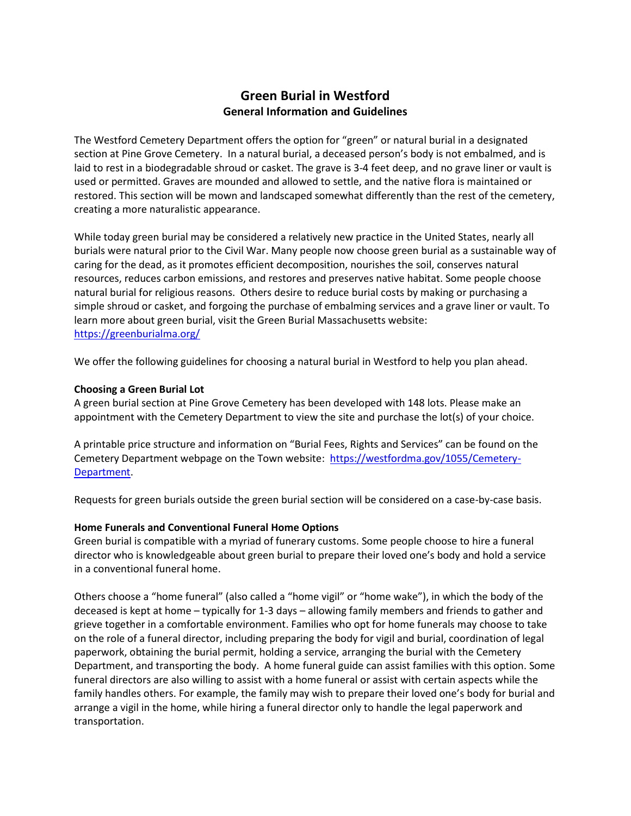# **Green Burial in Westford General Information and Guidelines**

The Westford Cemetery Department offers the option for "green" or natural burial in a designated section at Pine Grove Cemetery. In a natural burial, a deceased person's body is not embalmed, and is laid to rest in a biodegradable shroud or casket. The grave is 3-4 feet deep, and no grave liner or vault is used or permitted. Graves are mounded and allowed to settle, and the native flora is maintained or restored. This section will be mown and landscaped somewhat differently than the rest of the cemetery, creating a more naturalistic appearance.

While today green burial may be considered a relatively new practice in the United States, nearly all burials were natural prior to the Civil War. Many people now choose green burial as a sustainable way of caring for the dead, as it promotes efficient decomposition, nourishes the soil, conserves natural resources, reduces carbon emissions, and restores and preserves native habitat. Some people choose natural burial for religious reasons. Others desire to reduce burial costs by making or purchasing a simple shroud or casket, and forgoing the purchase of embalming services and a grave liner or vault. To learn more about green burial, visit the Green Burial Massachusetts website: <https://greenburialma.org/>

We offer the following guidelines for choosing a natural burial in Westford to help you plan ahead.

# **Choosing a Green Burial Lot**

A green burial section at Pine Grove Cemetery has been developed with 148 lots. Please make an appointment with the Cemetery Department to view the site and purchase the lot(s) of your choice.

A printable price structure and information on "Burial Fees, Rights and Services" can be found on the Cemetery Department webpage on the Town website: [https://westfordma.gov/1055/Cemetery-](https://westfordma.gov/1055/Cemetery-Department)[Department.](https://westfordma.gov/1055/Cemetery-Department)

Requests for green burials outside the green burial section will be considered on a case-by-case basis.

# **Home Funerals and Conventional Funeral Home Options**

Green burial is compatible with a myriad of funerary customs. Some people choose to hire a funeral director who is knowledgeable about green burial to prepare their loved one's body and hold a service in a conventional funeral home.

Others choose a "home funeral" (also called a "home vigil" or "home wake"), in which the body of the deceased is kept at home – typically for 1-3 days – allowing family members and friends to gather and grieve together in a comfortable environment. Families who opt for home funerals may choose to take on the role of a funeral director, including preparing the body for vigil and burial, coordination of legal paperwork, obtaining the burial permit, holding a service, arranging the burial with the Cemetery Department, and transporting the body. A home funeral guide can assist families with this option. Some funeral directors are also willing to assist with a home funeral or assist with certain aspects while the family handles others. For example, the family may wish to prepare their loved one's body for burial and arrange a vigil in the home, while hiring a funeral director only to handle the legal paperwork and transportation.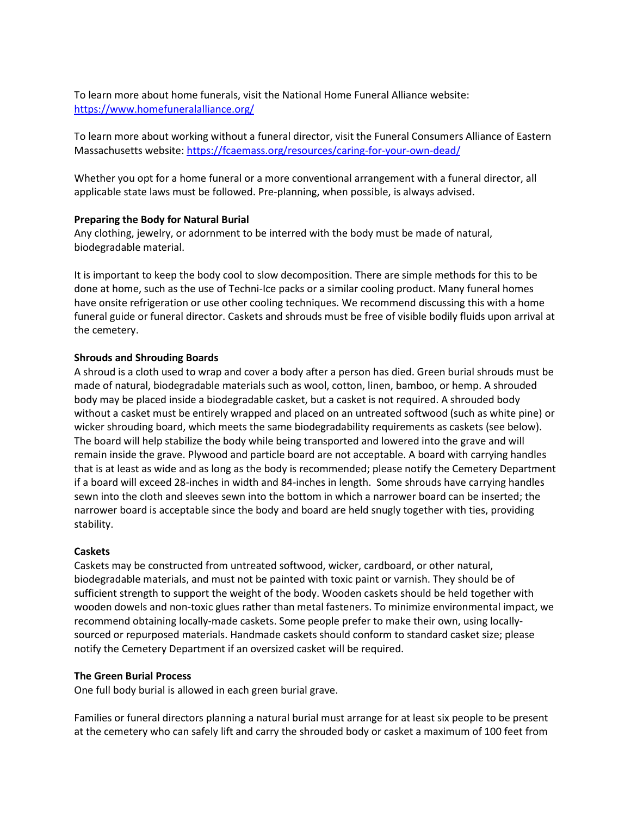To learn more about home funerals, visit the National Home Funeral Alliance website: <https://www.homefuneralalliance.org/>

To learn more about working without a funeral director, visit the Funeral Consumers Alliance of Eastern Massachusetts website:<https://fcaemass.org/resources/caring-for-your-own-dead/>

Whether you opt for a home funeral or a more conventional arrangement with a funeral director, all applicable state laws must be followed. Pre-planning, when possible, is always advised.

## **Preparing the Body for Natural Burial**

Any clothing, jewelry, or adornment to be interred with the body must be made of natural, biodegradable material.

It is important to keep the body cool to slow decomposition. There are simple methods for this to be done at home, such as the use of Techni-Ice packs or a similar cooling product. Many funeral homes have onsite refrigeration or use other cooling techniques. We recommend discussing this with a home funeral guide or funeral director. Caskets and shrouds must be free of visible bodily fluids upon arrival at the cemetery.

#### **Shrouds and Shrouding Boards**

A shroud is a cloth used to wrap and cover a body after a person has died. Green burial shrouds must be made of natural, biodegradable materials such as wool, cotton, linen, bamboo, or hemp. A shrouded body may be placed inside a biodegradable casket, but a casket is not required. A shrouded body without a casket must be entirely wrapped and placed on an untreated softwood (such as white pine) or wicker shrouding board, which meets the same biodegradability requirements as caskets (see below). The board will help stabilize the body while being transported and lowered into the grave and will remain inside the grave. Plywood and particle board are not acceptable. A board with carrying handles that is at least as wide and as long as the body is recommended; please notify the Cemetery Department if a board will exceed 28-inches in width and 84-inches in length. Some shrouds have carrying handles sewn into the cloth and sleeves sewn into the bottom in which a narrower board can be inserted; the narrower board is acceptable since the body and board are held snugly together with ties, providing stability.

#### **Caskets**

Caskets may be constructed from untreated softwood, wicker, cardboard, or other natural, biodegradable materials, and must not be painted with toxic paint or varnish. They should be of sufficient strength to support the weight of the body. Wooden caskets should be held together with wooden dowels and non-toxic glues rather than metal fasteners. To minimize environmental impact, we recommend obtaining locally-made caskets. Some people prefer to make their own, using locallysourced or repurposed materials. Handmade caskets should conform to standard casket size; please notify the Cemetery Department if an oversized casket will be required.

#### **The Green Burial Process**

One full body burial is allowed in each green burial grave.

Families or funeral directors planning a natural burial must arrange for at least six people to be present at the cemetery who can safely lift and carry the shrouded body or casket a maximum of 100 feet from